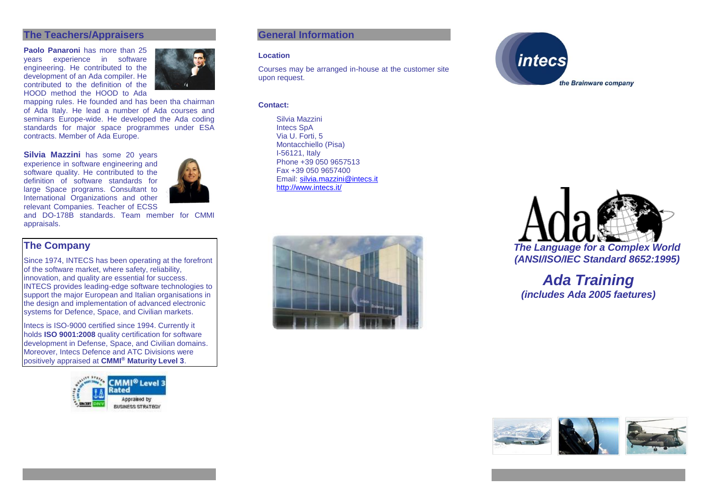### **The Teachers/Appraisers**

**Paolo Panaroni** has more than 25 years experience in software engineering. He contributed to the development of an Ada compiler. He contributed to the definition of the HOOD method the HOOD to Ada



mapping rules. He founded and has been tha chairman of Ada Italy. He lead a number of Ada courses and seminars Europe-wide. He developed the Ada coding standards for major space programmes under ESA contracts. Member of Ada Europe.

**Silvia Mazzini** has some 20 years experience in software engineering and software quality. He contributed to the definition of software standards for large Space programs. Consultant to International Organizations and other relevant Companies. Teacher of ECSS



and DO-178B standards. Team member for CMMI appraisals.

# **The Company**

Since 1974, INTECS has been operating at the forefront of the software market, where safety, reliability, innovation, and quality are essential for success. INTECS provides leading-edge software technologies to support the major European and Italian organisations in the design and implementation of advanced electronic systems for Defence, Space, and Civilian markets.

Intecs is ISO-9000 certified since 1994. Currently it holds **ISO 9001:2008** quality certification for software development in Defense, Space, and Civilian domains. Moreover, Intecs Defence and ATC Divisions were positively appraised at **CMMI® Maturity Level 3**.



## **General Information**

#### **Location**

Courses may be arranged in-house at the customer site upon request.

#### **Contact:**

Silvia Mazzini Intecs SpA Via U. Forti, 5 Montacchiello (Pisa) I-56121, Italy Phone +39 050 9657513 Fax +39 050 9657400 Email: [silvia.mazzini@intecs.it](mailto:andrea.musone@intecs.it) <http://www.intecs.it/>







*Ada Training (includes Ada 2005 faetures)*